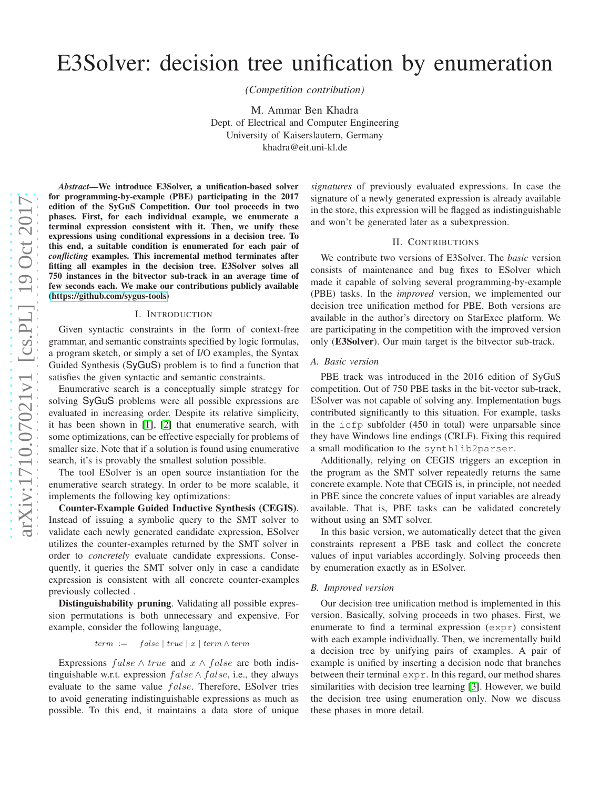# E3Solver: decision tree unification by enumeration

*(Competition contribution)*

M. Ammar Ben Khadra Dept. of Electrical and Computer Engineering University of Kaiserslautern, Germany khadra@eit.uni-kl.de

*Abstract*—We introduce E3Solver, a unification-based solver for programming-by-example (PBE) participating in the 2017 edition of the SyGuS Competition. Our tool proceeds in two phases. First, for each individual example, we enumerate a terminal expression consistent with it. Then, we unify these expressions using conditional expressions in a decision tree. To this end, a suitable condition is enumerated for each pair of *conflicting* examples. This incremental method terminates after fitting all examples in the decision tree. E3Solver solves all 750 instances in the bitvector sub-track in an average time of few seconds each. We make our contributions publicly available [\(https://github.com/sygus-tools\)](https://github.com/sygus-tools)

#### I. INTRODUCTION

Given syntactic constraints in the form of context-free grammar, and semantic constraints specified by logic formulas, a program sketch, or simply a set of I/O examples, the Syntax Guided Synthesis (SyGuS) problem is to find a function that satisfies the given syntactic and semantic constraints.

Enumerative search is a conceptually simple strategy for solving SyGuS problems were all possible expressions are evaluated in increasing order. Despite its relative simplicity, it has been shown in [\[1\]](#page-1-0), [\[2\]](#page-1-1) that enumerative search, with some optimizations, can be effective especially for problems of smaller size. Note that if a solution is found using enumerative search, it's is provably the smallest solution possible.

The tool ESolver is an open source instantiation for the enumerative search strategy. In order to be more scalable, it implements the following key optimizations:

Counter-Example Guided Inductive Synthesis (CEGIS). Instead of issuing a symbolic query to the SMT solver to validate each newly generated candidate expression, ESolver utilizes the counter-examples returned by the SMT solver in order to *concretely* evaluate candidate expressions. Consequently, it queries the SMT solver only in case a candidate expression is consistent with all concrete counter-examples previously collected .

Distinguishability pruning. Validating all possible expression permutations is both unnecessary and expensive. For example, consider the following language,

$$
term := false | true | x | term \wedge term
$$

Expressions  $false \wedge true$  and  $x \wedge false$  are both indistinguishable w.r.t. expression  $false \wedge false$ , i.e., they always evaluate to the same value  $false$ . Therefore, ESolver tries to avoid generating indistinguishable expressions as much as possible. To this end, it maintains a data store of unique *signatures* of previously evaluated expressions. In case the signature of a newly generated expression is already available in the store, this expression will be flagged as indistinguishable and won't be generated later as a subexpression.

# II. CONTRIBUTIONS

We contribute two versions of E3Solver. The *basic* version consists of maintenance and bug fixes to ESolver which made it capable of solving several programming-by-example (PBE) tasks. In the *improved* version, we implemented our decision tree unification method for PBE. Both versions are available in the author's directory on StarExec platform. We are participating in the competition with the improved version only (E3Solver). Our main target is the bitvector sub-track.

# *A. Basic version*

PBE track was introduced in the 2016 edition of SyGuS competition. Out of 750 PBE tasks in the bit-vector sub-track, ESolver was not capable of solving any. Implementation bugs contributed significantly to this situation. For example, tasks in the icfp subfolder (450 in total) were unparsable since they have Windows line endings (CRLF). Fixing this required a small modification to the synthlib2parser.

Additionally, relying on CEGIS triggers an exception in the program as the SMT solver repeatedly returns the same concrete example. Note that CEGIS is, in principle, not needed in PBE since the concrete values of input variables are already available. That is, PBE tasks can be validated concretely without using an SMT solver.

In this basic version, we automatically detect that the given constraints represent a PBE task and collect the concrete values of input variables accordingly. Solving proceeds then by enumeration exactly as in ESolver.

#### *B. Improved version*

Our decision tree unification method is implemented in this version. Basically, solving proceeds in two phases. First, we enumerate to find a terminal expression (expr) consistent with each example individually. Then, we incrementally build a decision tree by unifying pairs of examples. A pair of example is unified by inserting a decision node that branches between their terminal expr. In this regard, our method shares similarities with decision tree learning [\[3\]](#page-1-2). However, we build the decision tree using enumeration only. Now we discuss these phases in more detail.